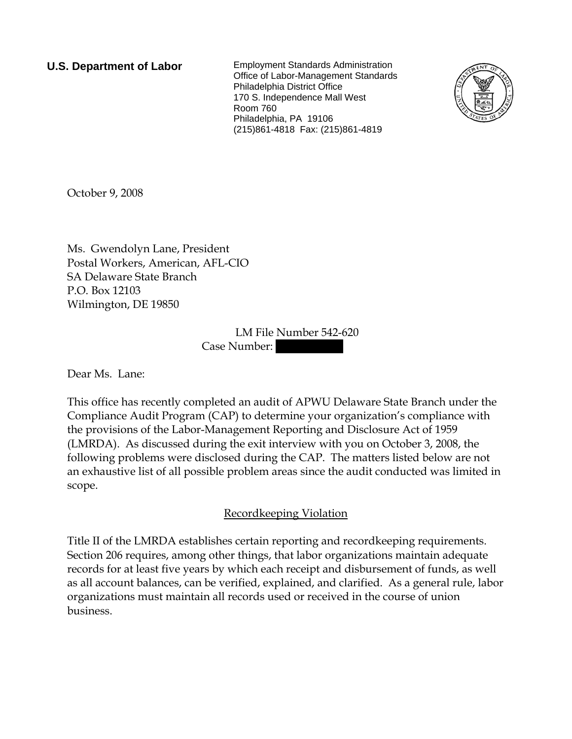**U.S. Department of Labor** Employment Standards Administration Office of Labor-Management Standards Philadelphia District Office 170 S. Independence Mall West Room 760 Philadelphia, PA 19106 (215)861-4818 Fax: (215)861-4819



October 9, 2008

Ms. Gwendolyn Lane, President Postal Workers, American, AFL-CIO SA Delaware State Branch P.O. Box 12103 Wilmington, DE 19850

> LM File Number 542-620 Case Number:

Dear Ms. Lane:

This office has recently completed an audit of APWU Delaware State Branch under the Compliance Audit Program (CAP) to determine your organization's compliance with the provisions of the Labor-Management Reporting and Disclosure Act of 1959 (LMRDA). As discussed during the exit interview with you on October 3, 2008, the following problems were disclosed during the CAP. The matters listed below are not an exhaustive list of all possible problem areas since the audit conducted was limited in scope.

## Recordkeeping Violation

Title II of the LMRDA establishes certain reporting and recordkeeping requirements. Section 206 requires, among other things, that labor organizations maintain adequate records for at least five years by which each receipt and disbursement of funds, as well as all account balances, can be verified, explained, and clarified. As a general rule, labor organizations must maintain all records used or received in the course of union business.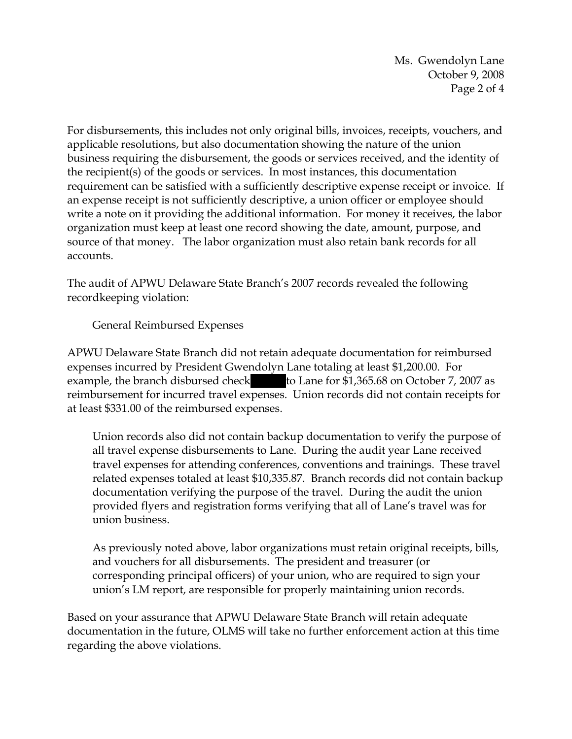Ms. Gwendolyn Lane October 9, 2008 Page 2 of 4

For disbursements, this includes not only original bills, invoices, receipts, vouchers, and applicable resolutions, but also documentation showing the nature of the union business requiring the disbursement, the goods or services received, and the identity of the recipient(s) of the goods or services. In most instances, this documentation requirement can be satisfied with a sufficiently descriptive expense receipt or invoice. If an expense receipt is not sufficiently descriptive, a union officer or employee should write a note on it providing the additional information. For money it receives, the labor organization must keep at least one record showing the date, amount, purpose, and source of that money. The labor organization must also retain bank records for all accounts.

The audit of APWU Delaware State Branch's 2007 records revealed the following recordkeeping violation:

General Reimbursed Expenses

APWU Delaware State Branch did not retain adequate documentation for reimbursed expenses incurred by President Gwendolyn Lane totaling at least \$1,200.00. For example, the branch disbursed check to Lane for \$1,365.68 on October 7, 2007 as reimbursement for incurred travel expenses. Union records did not contain receipts for at least \$331.00 of the reimbursed expenses.

Union records also did not contain backup documentation to verify the purpose of all travel expense disbursements to Lane. During the audit year Lane received travel expenses for attending conferences, conventions and trainings. These travel related expenses totaled at least \$10,335.87. Branch records did not contain backup documentation verifying the purpose of the travel. During the audit the union provided flyers and registration forms verifying that all of Lane's travel was for union business.

As previously noted above, labor organizations must retain original receipts, bills, and vouchers for all disbursements. The president and treasurer (or corresponding principal officers) of your union, who are required to sign your union's LM report, are responsible for properly maintaining union records.

Based on your assurance that APWU Delaware State Branch will retain adequate documentation in the future, OLMS will take no further enforcement action at this time regarding the above violations.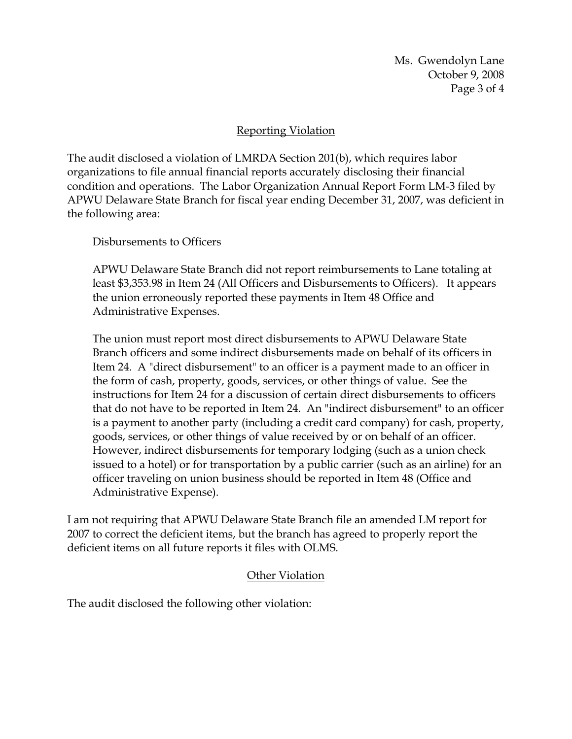Ms. Gwendolyn Lane October 9, 2008 Page 3 of 4

## Reporting Violation

The audit disclosed a violation of LMRDA Section 201(b), which requires labor organizations to file annual financial reports accurately disclosing their financial condition and operations. The Labor Organization Annual Report Form LM-3 filed by APWU Delaware State Branch for fiscal year ending December 31, 2007, was deficient in the following area:

Disbursements to Officers

APWU Delaware State Branch did not report reimbursements to Lane totaling at least \$3,353.98 in Item 24 (All Officers and Disbursements to Officers). It appears the union erroneously reported these payments in Item 48 Office and Administrative Expenses.

The union must report most direct disbursements to APWU Delaware State Branch officers and some indirect disbursements made on behalf of its officers in Item 24. A "direct disbursement" to an officer is a payment made to an officer in the form of cash, property, goods, services, or other things of value. See the instructions for Item 24 for a discussion of certain direct disbursements to officers that do not have to be reported in Item 24. An "indirect disbursement" to an officer is a payment to another party (including a credit card company) for cash, property, goods, services, or other things of value received by or on behalf of an officer. However, indirect disbursements for temporary lodging (such as a union check issued to a hotel) or for transportation by a public carrier (such as an airline) for an officer traveling on union business should be reported in Item 48 (Office and Administrative Expense).

I am not requiring that APWU Delaware State Branch file an amended LM report for 2007 to correct the deficient items, but the branch has agreed to properly report the deficient items on all future reports it files with OLMS.

## Other Violation

The audit disclosed the following other violation: